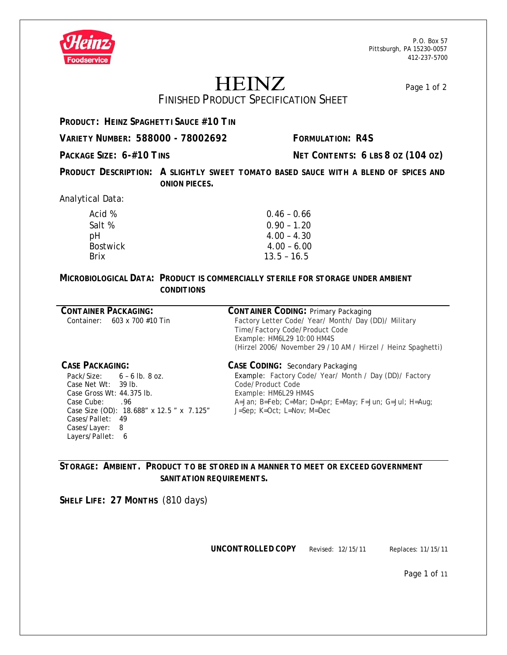P.O. Box 57 Pittsburgh, PA 15230-0057 412-237-5700



## **HEINZ**

Page 1 of 2

FINISHED PRODUCT SPECIFICATION SHEET

*PRODUCT: HEINZ SPAGHETTI SAUCE #10 TIN*

*VARIETY NUMBER: 588000 - 78002692 FORMULATION: R4S*

*PACKAGE SIZE: 6-#10 TINS NET CONTENTS: 6 LBS 8 OZ (104 OZ)* 

*PRODUCT DESCRIPTION: A SLIGHTLY SWEET TOMATO BASED SAUCE WITH A BLEND OF SPICES AND ONION PIECES.*

Analytical Data:

| Acid %          | $0.46 - 0.66$ |
|-----------------|---------------|
| Salt %          | $0.90 - 1.20$ |
| pH              | $4.00 - 4.30$ |
| <b>Bostwick</b> | $4.00 - 6.00$ |
| <b>Brix</b>     | $13.5 - 16.5$ |

*MICROBIOLOGICAL DATA: PRODUCT IS COMMERCIALLY STERILE FOR STORAGE UNDER AMBIENT CONDITIONS*

| <b>CONTAINER PACKAGING:</b>              | <b>CONTAINER CODING: Primary Packaging</b>                  |
|------------------------------------------|-------------------------------------------------------------|
| Container: 603 x 700 #10 Tin             | Factory Letter Code/ Year/ Month/ Day (DD)/ Military        |
|                                          | Time/Factory Code/Product Code                              |
|                                          | Example: HM6L29 10:00 HM4S                                  |
|                                          | (Hirzel 2006/ November 29/10 AM / Hirzel / Heinz Spaghetti) |
| <b>CASE PACKAGING:</b>                   | <b>CASE CODING:</b> Secondary Packaging                     |
| Pack/Size: $6 - 6$ lb, $8$ oz.           | Example: Factory Code/ Year/ Month / Day (DD)/ Factory      |
| Case Net $Wt$ : 39 lb.                   | Code/Product Code                                           |
| Case Gross Wt: 44.375 lb.                | Example: HM6L29 HM4S                                        |
| Case Cube:<br>.96                        | A=Jan; B=Feb; C=Mar; D=Apr; E=May; F=Jun; G=Jul; H=Aug;     |
| Case Size (OD): 18.688" x 12.5" x 7.125" | J=Sep; K=Oct; L=Nov; M=Dec                                  |
| Cases/Pallet: 49                         |                                                             |
| Cases/Layer: 8                           |                                                             |
| Layers/Pallet: 6                         |                                                             |

*STORAGE: AMBIENT. PRODUCT TO BE STORED IN A MANNER TO MEET OR EXCEED GOVERNMENT SANITATION REQUIREMENTS.*

*SHELF LIFE: 27 MONTHS* (810 days)

*UNCONTROLLED COPY* Revised: 12/15/11 Replaces: 11/15/11

Page 1 of 11